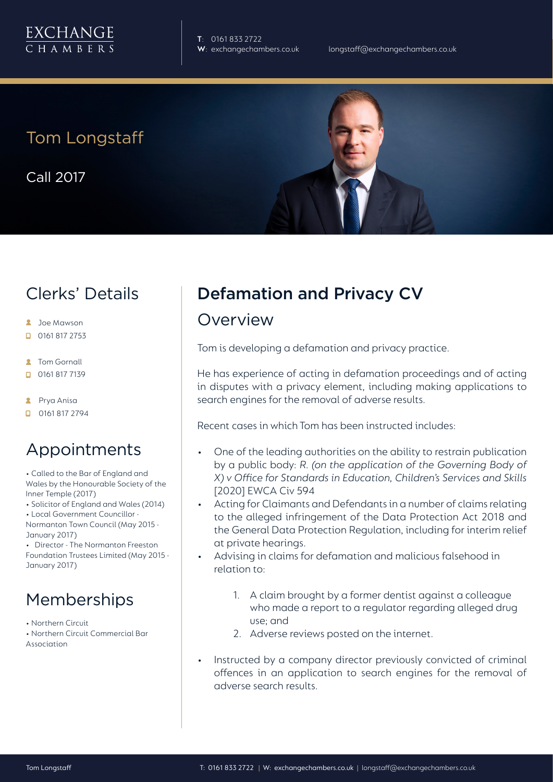

**T**: 0161 833 2722

Tom Longstaff

Call 2017

### Clerks' Details

- **2** Joe Mawson
- $\Box$  0161 817 2753
- **R** Tom Gornall
- 0161 817 7139
- **2** Prya Anisa
- $\Box$  0161 817 2794

### Appointments

• Called to the Bar of England and Wales by the Honourable Society of the Inner Temple (2017)

• Solicitor of England and Wales (2014)

• Local Government Councillor -

Normanton Town Council (May 2015 - January 2017)

• Director - The Normanton Freeston Foundation Trustees Limited (May 2015 - January 2017)

## Memberships

• Northern Circuit • Northern Circuit Commercial Bar Association

# Defamation and Privacy CV

### Overview

Tom is developing a defamation and privacy practice.

He has experience of acting in defamation proceedings and of acting in disputes with a privacy element, including making applications to search engines for the removal of adverse results.

Recent cases in which Tom has been instructed includes:

- One of the leading authorities on the ability to restrain publication by a public body: *R. (on the application of the Governing Body of X) v Office for Standards in Education, Children's Services and Skills* [2020] EWCA Civ 594
- Acting for Claimants and Defendants in a number of claims relating to the alleged infringement of the Data Protection Act 2018 and the General Data Protection Regulation, including for interim relief at private hearings.
- Advising in claims for defamation and malicious falsehood in relation to:
	- 1. A claim brought by a former dentist against a colleague who made a report to a regulator regarding alleged drug use; and
	- 2. Adverse reviews posted on the internet.
- Instructed by a company director previously convicted of criminal offences in an application to search engines for the removal of adverse search results.